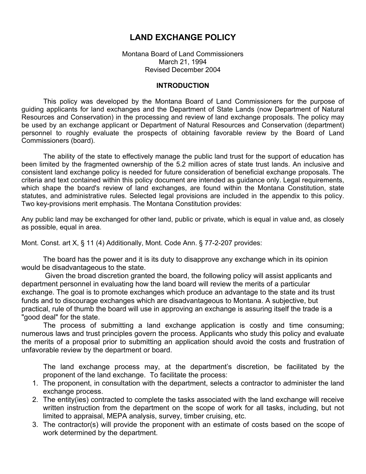# LAND EXCHANGE POLICY

Montana Board of Land Commissioners March 21, 1994 Revised December 2004

#### INTRODUCTION

This policy was developed by the Montana Board of Land Commissioners for the purpose of guiding applicants for land exchanges and the Department of State Lands (now Department of Natural Resources and Conservation) in the processing and review of land exchange proposals. The policy may be used by an exchange applicant or Department of Natural Resources and Conservation (department) personnel to roughly evaluate the prospects of obtaining favorable review by the Board of Land Commissioners (board).

The ability of the state to effectively manage the public land trust for the support of education has been limited by the fragmented ownership of the 5.2 million acres of state trust lands. An inclusive and consistent land exchange policy is needed for future consideration of beneficial exchange proposals. The criteria and text contained within this policy document are intended as guidance only. Legal requirements, which shape the board's review of land exchanges, are found within the Montana Constitution, state statutes, and administrative rules. Selected legal provisions are included in the appendix to this policy. Two key-provisions merit emphasis. The Montana Constitution provides:

Any public land may be exchanged for other land, public or private, which is equal in value and, as closely as possible, equal in area.

Mont. Const. art X, § 11 (4) Additionally, Mont. Code Ann. § 77-2-207 provides:

 The board has the power and it is its duty to disapprove any exchange which in its opinion would be disadvantageous to the state.

 Given the broad discretion granted the board, the following policy will assist applicants and department personnel in evaluating how the land board will review the merits of a particular exchange. The goal is to promote exchanges which produce an advantage to the state and its trust funds and to discourage exchanges which are disadvantageous to Montana. A subjective, but practical, rule of thumb the board will use in approving an exchange is assuring itself the trade is a "good deal" for the state.

The process of submitting a land exchange application is costly and time consuming; numerous laws and trust principles govern the process. Applicants who study this policy and evaluate the merits of a proposal prior to submitting an application should avoid the costs and frustration of unfavorable review by the department or board.

The land exchange process may, at the department's discretion, be facilitated by the proponent of the land exchange. To facilitate the process:

- 1. The proponent, in consultation with the department, selects a contractor to administer the land exchange process.
- 2. The entity(ies) contracted to complete the tasks associated with the land exchange will receive written instruction from the department on the scope of work for all tasks, including, but not limited to appraisal, MEPA analysis, survey, timber cruising, etc.
- 3. The contractor(s) will provide the proponent with an estimate of costs based on the scope of work determined by the department.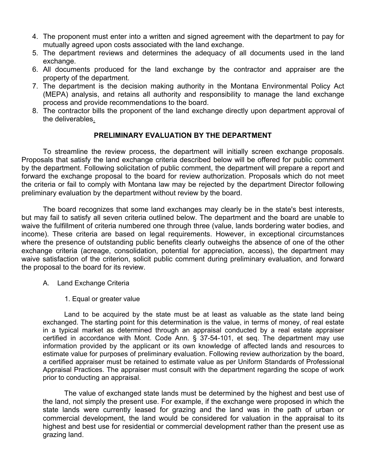- 4. The proponent must enter into a written and signed agreement with the department to pay for mutually agreed upon costs associated with the land exchange.
- 5. The department reviews and determines the adequacy of all documents used in the land exchange.
- 6. All documents produced for the land exchange by the contractor and appraiser are the property of the department.
- 7. The department is the decision making authority in the Montana Environmental Policy Act (MEPA) analysis, and retains all authority and responsibility to manage the land exchange process and provide recommendations to the board.
- 8. The contractor bills the proponent of the land exchange directly upon department approval of the deliverables.

# PRELIMINARY EVALUATION BY THE DEPARTMENT

To streamline the review process, the department will initially screen exchange proposals. Proposals that satisfy the land exchange criteria described below will be offered for public comment by the department. Following solicitation of public comment, the department will prepare a report and forward the exchange proposal to the board for review authorization. Proposals which do not meet the criteria or fail to comply with Montana law may be rejected by the department Director following preliminary evaluation by the department without review by the board.

The board recognizes that some land exchanges may clearly be in the state's best interests, but may fail to satisfy all seven criteria outlined below. The department and the board are unable to waive the fulfillment of criteria numbered one through three (value, lands bordering water bodies, and income). These criteria are based on legal requirements. However, in exceptional circumstances where the presence of outstanding public benefits clearly outweighs the absence of one of the other exchange criteria (acreage, consolidation, potential for appreciation, access), the department may waive satisfaction of the criterion, solicit public comment during preliminary evaluation, and forward the proposal to the board for its review.

- A. Land Exchange Criteria
	- 1. Equal or greater value

Land to be acquired by the state must be at least as valuable as the state land being exchanged. The starting point for this determination is the value, in terms of money, of real estate in a typical market as determined through an appraisal conducted by a real estate appraiser certified in accordance with Mont. Code Ann. § 37-54-101, et seq. The department may use information provided by the applicant or its own knowledge of affected lands and resources to estimate value for purposes of preliminary evaluation. Following review authorization by the board, a certified appraiser must be retained to estimate value as per Uniform Standards of Professional Appraisal Practices. The appraiser must consult with the department regarding the scope of work prior to conducting an appraisal.

The value of exchanged state lands must be determined by the highest and best use of the land, not simply the present use. For example, if the exchange were proposed in which the state lands were currently leased for grazing and the land was in the path of urban or commercial development, the land would be considered for valuation in the appraisal to its highest and best use for residential or commercial development rather than the present use as grazing land.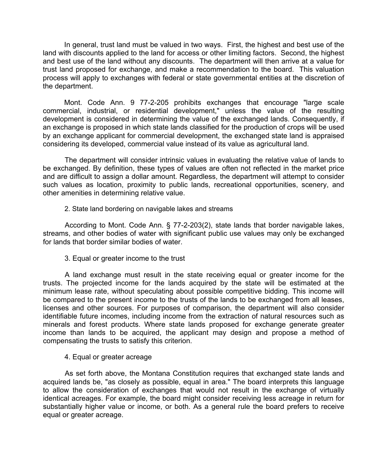In general, trust land must be valued in two ways. First, the highest and best use of the land with discounts applied to the land for access or other limiting factors. Second, the highest and best use of the land without any discounts. The department will then arrive at a value for trust land proposed for exchange, and make a recommendation to the board. This valuation process will apply to exchanges with federal or state governmental entities at the discretion of the department.

Mont. Code Ann. 9 77-2-205 prohibits exchanges that encourage "large scale commercial, industrial, or residential development," unless the value of the resulting development is considered in determining the value of the exchanged lands. Consequently, if an exchange is proposed in which state lands classified for the production of crops will be used by an exchange applicant for commercial development, the exchanged state land is appraised considering its developed, commercial value instead of its value as agricultural land.

The department will consider intrinsic values in evaluating the relative value of lands to be exchanged. By definition, these types of values are often not reflected in the market price and are difficult to assign a dollar amount. Regardless, the department will attempt to consider such values as location, proximity to public lands, recreational opportunities, scenery, and other amenities in determining relative value.

2. State land bordering on navigable lakes and streams

According to Mont. Code Ann. § 77-2-203(2), state lands that border navigable lakes, streams, and other bodies of water with significant public use values may only be exchanged for lands that border similar bodies of water.

3. Equal or greater income to the trust

A land exchange must result in the state receiving equal or greater income for the trusts. The projected income for the lands acquired by the state will be estimated at the minimum lease rate, without speculating about possible competitive bidding. This income will be compared to the present income to the trusts of the lands to be exchanged from all leases, licenses and other sources. For purposes of comparison, the department will also consider identifiable future incomes, including income from the extraction of natural resources such as minerals and forest products. Where state lands proposed for exchange generate greater income than lands to be acquired, the applicant may design and propose a method of compensating the trusts to satisfy this criterion.

4. Equal or greater acreage

As set forth above, the Montana Constitution requires that exchanged state lands and acquired lands be, "as closely as possible, equal in area." The board interprets this language to allow the consideration of exchanges that would not result in the exchange of virtually identical acreages. For example, the board might consider receiving less acreage in return for substantially higher value or income, or both. As a general rule the board prefers to receive equal or greater acreage.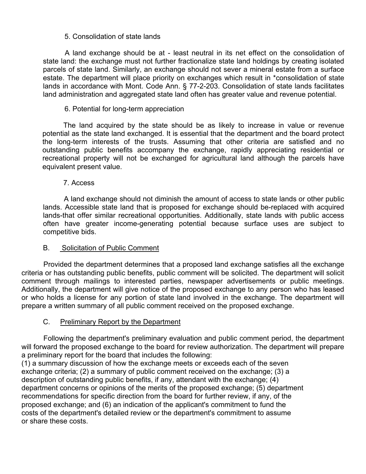## 5. Consolidation of state lands

A land exchange should be at - least neutral in its net effect on the consolidation of state land: the exchange must not further fractionalize state land holdings by creating isolated parcels of state land. Similarly, an exchange should not sever a mineral estate from a surface estate. The department will place priority on exchanges which result in \*consolidation of state lands in accordance with Mont. Code Ann. § 77-2-203. Consolidation of state lands facilitates land administration and aggregated state land often has greater value and revenue potential.

## 6. Potential for long-term appreciation

The land acquired by the state should be as likely to increase in value or revenue potential as the state land exchanged. It is essential that the department and the board protect the long-term interests of the trusts. Assuming that other criteria are satisfied and no outstanding public benefits accompany the exchange, rapidly appreciating residential or recreational property will not be exchanged for agricultural land although the parcels have equivalent present value.

### 7. Access

A land exchange should not diminish the amount of access to state lands or other public lands. Accessible state land that is proposed for exchange should be-replaced with acquired lands-that offer similar recreational opportunities. Additionally, state lands with public access often have greater income-generating potential because surface uses are subject to competitive bids.

### B. Solicitation of Public Comment

Provided the department determines that a proposed land exchange satisfies all the exchange criteria or has outstanding public benefits, public comment will be solicited. The department will solicit comment through mailings to interested parties, newspaper advertisements or public meetings. Additionally, the department will give notice of the proposed exchange to any person who has leased or who holds a license for any portion of state land involved in the exchange. The department will prepare a written summary of all public comment received on the proposed exchange.

### C. Preliminary Report by the Department

Following the department's preliminary evaluation and public comment period, the department will forward the proposed exchange to the board for review authorization. The department will prepare a preliminary report for the board that includes the following:

(1) a summary discussion of how the exchange meets or exceeds each of the seven exchange criteria; (2) a summary of public comment received on the exchange; (3) a description of outstanding public benefits, if any, attendant with the exchange; (4) department concerns or opinions of the merits of the proposed exchange; (5) department recommendations for specific direction from the board for further review, if any, of the proposed exchange; and (6) an indication of the applicant's commitment to fund the costs of the department's detailed review or the department's commitment to assume or share these costs.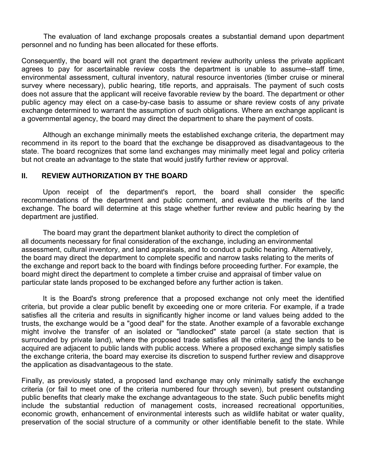The evaluation of land exchange proposals creates a substantial demand upon department personnel and no funding has been allocated for these efforts.

Consequently, the board will not grant the department review authority unless the private applicant agrees to pay for ascertainable review costs the department is unable to assume--staff time, environmental assessment, cultural inventory, natural resource inventories (timber cruise or mineral survey where necessary), public hearing, title reports, and appraisals. The payment of such costs does not assure that the applicant will receive favorable review by the board. The department or other public agency may elect on a case-by-case basis to assume or share review costs of any private exchange determined to warrant the assumption of such obligations. Where an exchange applicant is a governmental agency, the board may direct the department to share the payment of costs.

Although an exchange minimally meets the established exchange criteria, the department may recommend in its report to the board that the exchange be disapproved as disadvantageous to the state. The board recognizes that some land exchanges may minimally meet legal and policy criteria but not create an advantage to the state that would justify further review or approval.

### II. REVIEW AUTHORIZATION BY THE BOARD

Upon receipt of the department's report, the board shall consider the specific recommendations of the department and public comment, and evaluate the merits of the land exchange. The board will determine at this stage whether further review and public hearing by the department are justified.

 The board may grant the department blanket authority to direct the completion of all documents necessary for final consideration of the exchange, including an environmental assessment, cultural inventory, and land appraisals, and to conduct a public hearing. Alternatively, the board may direct the department to complete specific and narrow tasks relating to the merits of the exchange and report back to the board with findings before proceeding further. For example, the board might direct the department to complete a timber cruise and appraisal of timber value on particular state lands proposed to be exchanged before any further action is taken.

It is the Board's strong preference that a proposed exchange not only meet the identified criteria, but provide a clear public benefit by exceeding one or more criteria. For example, if a trade satisfies all the criteria and results in significantly higher income or land values being added to the trusts, the exchange would be a "good deal" for the state. Another example of a favorable exchange might involve the transfer of an isolated or "landlocked" state parcel (a state section that is surrounded by private land), where the proposed trade satisfies all the criteria, and the lands to be acquired are adjacent to public lands with public access. Where a proposed exchange simply satisfies the exchange criteria, the board may exercise its discretion to suspend further review and disapprove the application as disadvantageous to the state.

Finally, as previously stated, a proposed land exchange may only minimally satisfy the exchange criteria (or fail to meet one of the criteria numbered four through seven), but present outstanding public benefits that clearly make the exchange advantageous to the state. Such public benefits might include the substantial reduction of management costs, increased recreational opportunities, economic growth, enhancement of environmental interests such as wildlife habitat or water quality, preservation of the social structure of a community or other identifiable benefit to the state. While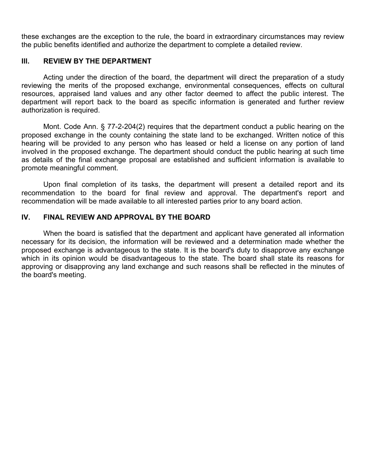these exchanges are the exception to the rule, the board in extraordinary circumstances may review the public benefits identified and authorize the department to complete a detailed review.

#### Ill. REVIEW BY THE DEPARTMENT

Acting under the direction of the board, the department will direct the preparation of a study reviewing the merits of the proposed exchange, environmental consequences, effects on cultural resources, appraised land values and any other factor deemed to affect the public interest. The department will report back to the board as specific information is generated and further review authorization is required.

Mont. Code Ann. § 77-2-204(2) requires that the department conduct a public hearing on the proposed exchange in the county containing the state land to be exchanged. Written notice of this hearing will be provided to any person who has leased or held a license on any portion of land involved in the proposed exchange. The department should conduct the public hearing at such time as details of the final exchange proposal are established and sufficient information is available to promote meaningful comment.

Upon final completion of its tasks, the department will present a detailed report and its recommendation to the board for final review and approval. The department's report and recommendation will be made available to all interested parties prior to any board action.

# IV. FINAL REVIEW AND APPROVAL BY THE BOARD

When the board is satisfied that the department and applicant have generated all information necessary for its decision, the information will be reviewed and a determination made whether the proposed exchange is advantageous to the state. It is the board's duty to disapprove any exchange which in its opinion would be disadvantageous to the state. The board shall state its reasons for approving or disapproving any land exchange and such reasons shall be reflected in the minutes of the board's meeting.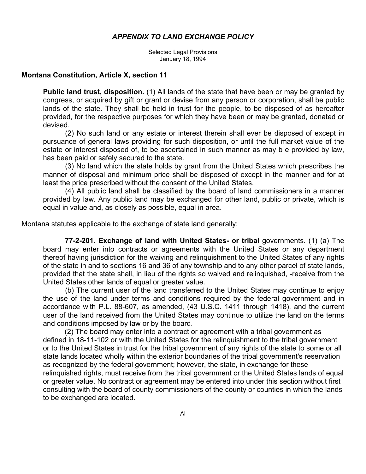#### APPENDIX TO LAND EXCHANGE POLICY

Selected Legal Provisions January 18, 1994

#### Montana Constitution, Article X, section 11

Public land trust, disposition. (1) All lands of the state that have been or may be granted by congress, or acquired by gift or grant or devise from any person or corporation, shall be public lands of the state. They shall be held in trust for the people, to be disposed of as hereafter provided, for the respective purposes for which they have been or may be granted, donated or devised.

(2) No such land or any estate or interest therein shall ever be disposed of except in pursuance of general laws providing for such disposition, or until the full market value of the estate or interest disposed of, to be ascertained in such manner as may b e provided by law, has been paid or safely secured to the state.

(3) No land which the state holds by grant from the United States which prescribes the manner of disposal and minimum price shall be disposed of except in the manner and for at least the price prescribed without the consent of the United States.

(4) All public land shall be classified by the board of land commissioners in a manner provided by law. Any public land may be exchanged for other land, public or private, which is equal in value and, as closely as possible, equal in area.

Montana statutes applicable to the exchange of state land generally:

77-2-201. Exchange of land with United States- or tribal governments. (1) (a) The board may enter into contracts or agreements with the United States or any department thereof having jurisdiction for the waiving and relinquishment to the United States of any rights of the state in and to sections 16 and 36 of any township and to any other parcel of state lands, provided that the state shall, in lieu of the rights so waived and relinquished, -receive from the United States other lands of equal or greater value.

(b) The current user of the land transferred to the United States may continue to enjoy the use of the land under terms and conditions required by the federal government and in accordance with P.L. 88-607, as amended, (43 U.S.C. 1411 through 1418), and the current user of the land received from the United States may continue to utilize the land on the terms and conditions imposed by law or by the board.

 (2) The board may enter into a contract or agreement with a tribal government as defined in 18-11-102 or with the United States for the relinquishment to the tribal government or to the United States in trust for the tribal government of any rights of the state to some or all state lands located wholly within the exterior boundaries of the tribal government's reservation as recognized by the federal government; however, the state, in exchange for these relinquished rights, must receive from the tribal government or the United States lands of equal or greater value. No contract or agreement may be entered into under this section without first consulting with the board of county commissioners of the county or counties in which the lands to be exchanged are located.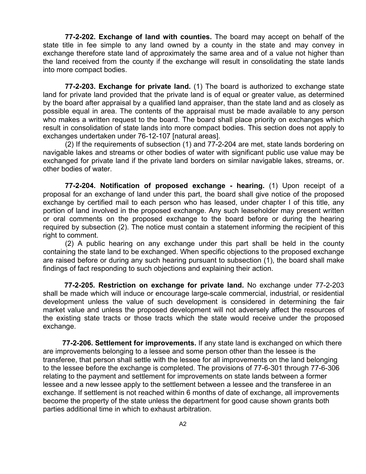77-2-202. Exchange of land with counties. The board may accept on behalf of the state title in fee simple to any land owned by a county in the state and may convey in exchange therefore state land of approximately the same area and of a value not higher than the land received from the county if the exchange will result in consolidating the state lands into more compact bodies.

77-2-203. Exchange for private land. (1) The board is authorized to exchange state land for private land provided that the private land is of equal or greater value, as determined by the board after appraisal by a qualified land appraiser, than the state land and as closely as possible equal in area. The contents of the appraisal must be made available to any person who makes a written request to the board. The board shall place priority on exchanges which result in consolidation of state lands into more compact bodies. This section does not apply to exchanges undertaken under 76-12-107 [natural areas].

(2) If the requirements of subsection (1) and 77-2-204 are met, state lands bordering on navigable lakes and streams or other bodies of water with significant public use value may be exchanged for private land if the private land borders on similar navigable lakes, streams, or. other bodies of water.

77-2-204. Notification of proposed exchange - hearing. (1) Upon receipt of a proposal for an exchange of land under this part, the board shall give notice of the proposed exchange by certified mail to each person who has leased, under chapter I of this title, any portion of land involved in the proposed exchange. Any such leaseholder may present written or oral comments on the proposed exchange to the board before or during the hearing required by subsection (2). The notice must contain a statement informing the recipient of this right to comment.

(2) A public hearing on any exchange under this part shall be held in the county containing the state land to be exchanged. When specific objections to the proposed exchange are raised before or during any such hearing pursuant to subsection (1), the board shall make findings of fact responding to such objections and explaining their action.

77-2-205. Restriction on exchange for private land. No exchange under 77-2-203 shall be made which will induce or encourage large-scale commercial, industrial, or residential development unless the value of such development is considered in determining the fair market value and unless the proposed development will not adversely affect the resources of the existing state tracts or those tracts which the state would receive under the proposed exchange.

77-2-206. Settlement for improvements. If any state land is exchanged on which there are improvements belonging to a lessee and some person other than the lessee is the transferee, that person shall settle with the lessee for all improvements on the land belonging to the lessee before the exchange is completed. The provisions of 77-6-301 through 77-6-306 relating to the payment and settlement for improvements on state lands between a former lessee and a new lessee apply to the settlement between a lessee and the transferee in an exchange. If settlement is not reached within 6 months of date of exchange, all improvements become the property of the state unless the department for good cause shown grants both parties additional time in which to exhaust arbitration.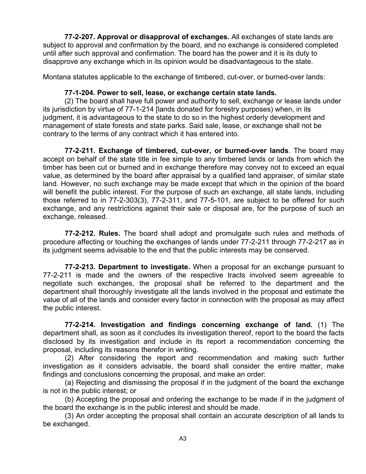77-2-207. Approval or disapproval of exchanges. All exchanges of state lands are subject to approval and confirmation by the board, and no exchange is considered completed until after such approval and confirmation. The board has the power and it is its duty to disapprove any exchange which in its opinion would be disadvantageous to the state.

Montana statutes applicable to the exchange of timbered, cut-over, or burned-over lands:

#### 77-1-204. Power to sell, lease, or exchange certain state lands.

(2) The board shall have full power and authority to sell, exchange or lease lands under its jurisdiction by virtue of 77-1-214 [lands donated for forestry purposes) when, in its judgment, it is advantageous to the state to do so in the highest orderly development and management of state forests and state parks. Said sale, lease, or exchange shall not be contrary to the terms of any contract which it has entered into.

77-2-211. Exchange of timbered, cut-over, or burned-over lands. The board may accept on behalf of the state title in fee simple to any timbered lands or lands from which the timber has been cut or burned and in exchange therefore may convey not to exceed an equal value, as determined by the board after appraisal by a qualified land appraiser, of similar state land. However, no such exchange may be made except that which in the opinion of the board will benefit the public interest. For the purpose of such an exchange, all state lands, including those referred to in 77-2-303(3), 77-2-311, and 77-5-101, are subject to be offered for such exchange, and any restrictions against their sale or disposal are, for the purpose of such an exchange, released.

77-2-212. Rules. The board shall adopt and promulgate such rules and methods of procedure affecting or touching the exchanges of lands under 77-2-211 through 77-2-217 as in its judgment seems advisable to the end that the public interests may be conserved.

77-2-213. Department to investigate. When a proposal for an exchange pursuant to 77-2-211 is made and the owners of the respective tracts involved seem agreeable to negotiate such exchanges, the proposal shall be referred to the department and the department shall thoroughly investigate all the lands involved in the proposal and estimate the value of all of the lands and consider every factor in connection with the proposal as may affect the public interest.

77-2-214. Investigation and findings concerning exchange of land. (1) The department shall, as soon as it concludes its investigation thereof, report to the board the facts disclosed by its investigation and include in its report a recommendation concerning the proposal, including its reasons therefor in writing.

(2) After considering the report and recommendation and making such further investigation as it considers advisable, the board shall consider the entire matter, make findings and conclusions concerning the proposal, and make an order:

(a) Rejecting and dismissing the proposal if in the judgment of the board the exchange is not in the public interest; or

(b) Accepting the proposal and ordering the exchange to be made if in the judgment of the board the exchange is in the public interest and should be made.

(3) An order accepting the proposal shall contain an accurate description of all lands to be exchanged.